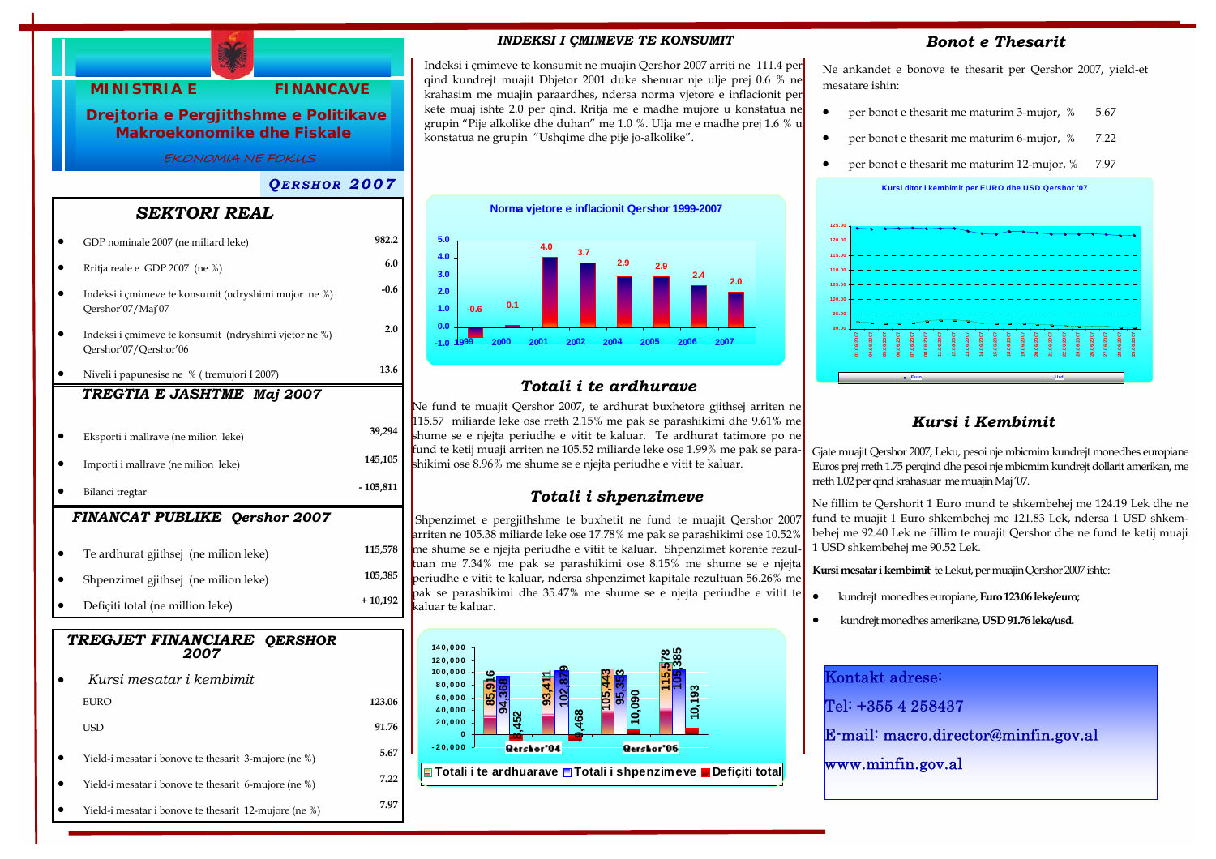

#### *INDEKSI I ÇMIMEVE TE KONSUMIT*

Indeksi i çmimeve te konsumit ne muajin Qershor 2007 arriti ne 111.4 per qind kundrejt muajit Dhjetor 2001 duke shenuar nje ulje prej 0.6 % ne krahasim me muajin paraardhes, ndersa norma vjetore e inflacionit per kete muaj ishte 2.0 per qind. Rritja me e madhe mujore u konstatua ne grupin "Pije alkolike dhe duhan" me 1.0 %. Ulja me e madhe prej 1.6 % u konstatua ne grupin "Ushqime dhe pije jo-alkolike".



## *Totali i te ardhurave*

Ne fund te muajit Qershor 2007, te ardhurat buxhetore gjithsej arriten ne 115.57 miliarde leke ose rreth 2.15% me pak se parashikimi dhe 9.61% me shume se e njejta periudhe e vitit te kaluar. Te ardhurat tatimore po ne fund te ketij muaji arriten ne 105.52 miliarde leke ose 1.99% me pak se parashikimi ose 8.96% me shume se e njejta periudhe e vitit te kaluar.

#### *Totali i shpenzimeve*

Shpenzimet e pergjithshme te buxhetit ne fund te muajit Qershor 2007 arriten ne 105.38 miliarde leke ose 17.78% me pak se parashikimi ose 10.52% me shume se e njejta periudhe e vitit te kaluar. Shpenzimet korente rezultuan me 7.34% me pak se parashikimi ose 8.15% me shume se e njejta periudhe e vitit te kaluar, ndersa shpenzimet kapitale rezultuan 56.26% me pak se parashikimi dhe 35.47% me shume se e njejta periudhe e vitit te kaluar te kaluar.



#### *Bonot e Thesarit*

Ne ankandet e bonove te thesarit per Qershor 2007, yield-et mesatare ishin:

- per bonot e thesarit me maturim 3-mujor, % 5.67
- per bonot e thesarit me maturim 6-mujor, % 7.22
- per bonot e thesarit me maturim 12-mujor, % 7.97





## *Kursi i Kembimit*

Gjate muajit Qershor 2007, Leku, pesoi nje mbicmim kundrejt monedhes europiane Euros prej rreth 1.75 perqind dhe pesoi nje mbicmim kundrejt dollarit amerikan, me rreth 1.02 per qind krahasuar me muajin Maj '07.

Ne fillim te Qershorit 1 Euro mund te shkembehej me 124.19 Lek dhe ne fund te muajit 1 Euro shkembehej me 121.83 Lek, ndersa 1 USD shkembehej me 92.40 Lek ne fillim te muajit Qershor dhe ne fund te ketij muaji 1 USD shkembehej me 90.52 Lek.

**Kursi mesatar i kembimit** te Lekut, per muajin Qershor 2007 ishte:

- kundrejt monedhes europiane, **Euro 123.06 leke/euro;**
- kundrejt monedhes amerikane, **USD 91.76 leke/usd.**

| Kontakt adrese:                      |
|--------------------------------------|
| Tel: +355 4 258437                   |
| E-mail: macro.director@minfin.gov.al |
| www.minfin.gov.al                    |